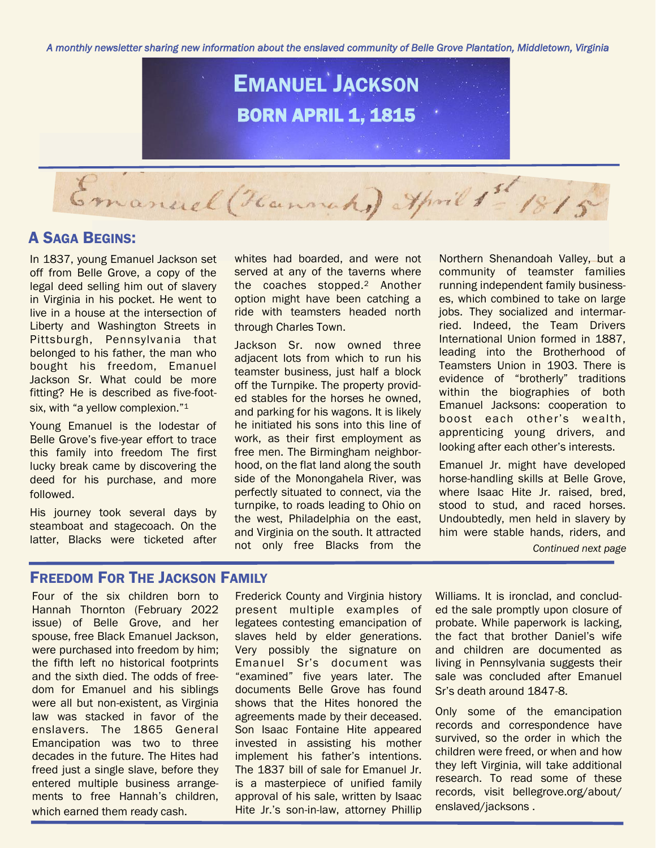*A monthly newsletter sharing new information about the enslaved community of Belle Grove Plantation, Middletown, Virginia* 



## A SAGA BEGINS:

In 1837, young Emanuel Jackson set off from Belle Grove, a copy of the legal deed selling him out of slavery in Virginia in his pocket. He went to live in a house at the intersection of Liberty and Washington Streets in Pittsburgh, Pennsylvania that belonged to his father, the man who bought his freedom, Emanuel Jackson Sr. What could be more fitting? He is described as five-footsix, with "a yellow complexion."<sup>1</sup>

Young Emanuel is the lodestar of Belle Grove's five-year effort to trace this family into freedom The first lucky break came by discovering the deed for his purchase, and more followed.

His journey took several days by steamboat and stagecoach. On the latter, Blacks were ticketed after

whites had boarded, and were not served at any of the taverns where the coaches stopped.<sup>2</sup> Another option might have been catching a ride with teamsters headed north through Charles Town.

Jackson Sr. now owned three adjacent lots from which to run his teamster business, just half a block off the Turnpike. The property provided stables for the horses he owned, and parking for his wagons. It is likely he initiated his sons into this line of work, as their first employment as free men. The Birmingham neighborhood, on the flat land along the south side of the Monongahela River, was perfectly situated to connect, via the turnpike, to roads leading to Ohio on the west, Philadelphia on the east, and Virginia on the south. It attracted not only free Blacks from the

Northern Shenandoah Valley, but a community of teamster families running independent family businesses, which combined to take on large jobs. They socialized and intermarried. Indeed, the Team Drivers International Union formed in 1887, leading into the Brotherhood of Teamsters Union in 1903. There is evidence of "brotherly" traditions within the biographies of both Emanuel Jacksons: cooperation to boost each other's wealth, apprenticing young drivers, and looking after each other's interests.

Emanuel Jr. might have developed horse-handling skills at Belle Grove, where Isaac Hite Jr. raised, bred, stood to stud, and raced horses. Undoubtedly, men held in slavery by him were stable hands, riders, and

*Continued next page*

## FREEDOM FOR THE JACKSON FAMILY

Four of the six children born to Hannah Thornton (February 2022 issue) of Belle Grove, and her spouse, free Black Emanuel Jackson, were purchased into freedom by him; the fifth left no historical footprints and the sixth died. The odds of freedom for Emanuel and his siblings were all but non-existent, as Virginia law was stacked in favor of the enslavers. The 1865 General Emancipation was two to three decades in the future. The Hites had freed just a single slave, before they entered multiple business arrangements to free Hannah's children, which earned them ready cash.

Frederick County and Virginia history present multiple examples of legatees contesting emancipation of slaves held by elder generations. Very possibly the signature on Emanuel Sr's document was "examined" five years later. The documents Belle Grove has found shows that the Hites honored the agreements made by their deceased. Son Isaac Fontaine Hite appeared invested in assisting his mother implement his father's intentions. The 1837 bill of sale for Emanuel Jr. is a masterpiece of unified family approval of his sale, written by Isaac Hite Jr.'s son-in-law, attorney Phillip

Williams. It is ironclad, and concluded the sale promptly upon closure of probate. While paperwork is lacking, the fact that brother Daniel's wife and children are documented as living in Pennsylvania suggests their sale was concluded after Emanuel Sr's death around 1847-8.

Only some of the emancipation records and correspondence have survived, so the order in which the children were freed, or when and how they left Virginia, will take additional research. To read some of these records, visit bellegrove.org/about/ enslaved/jacksons .